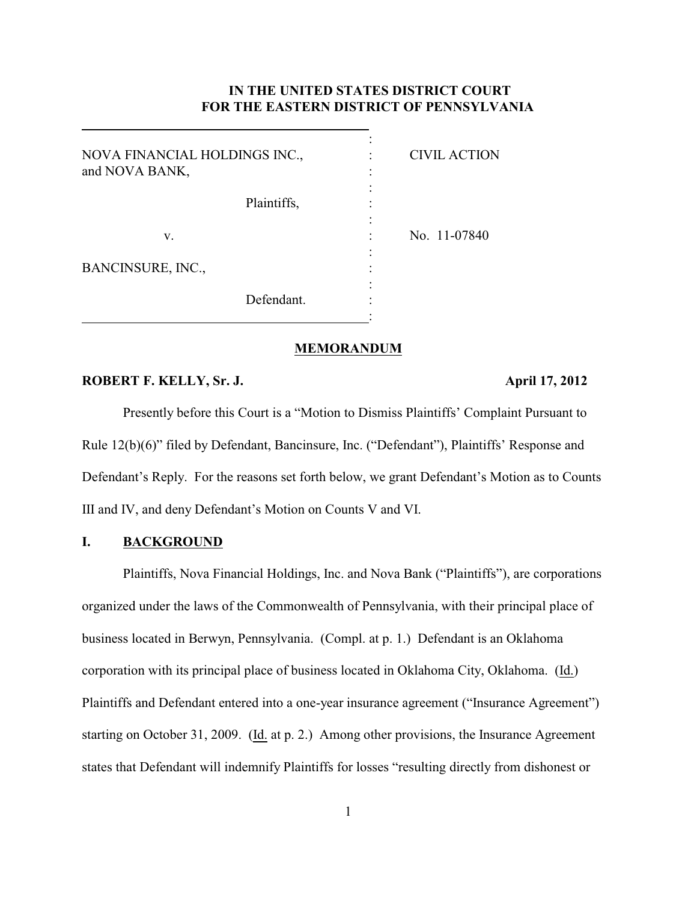# **IN THE UNITED STATES DISTRICT COURT FOR THE EASTERN DISTRICT OF PENNSYLVANIA**

| NOVA FINANCIAL HOLDINGS INC.,<br>and NOVA BANK, | <b>CIVIL ACTION</b> |  |
|-------------------------------------------------|---------------------|--|
| Plaintiffs,                                     |                     |  |
| V.                                              | No. 11-07840        |  |
| BANCINSURE, INC.,                               |                     |  |
| Defendant.                                      |                     |  |

#### **MEMORANDUM**

#### **ROBERT F. KELLY, Sr. J. April 17, 2012**

 $\overline{a}$ 

Presently before this Court is a "Motion to Dismiss Plaintiffs' Complaint Pursuant to Rule 12(b)(6)" filed by Defendant, Bancinsure, Inc. ("Defendant"), Plaintiffs' Response and Defendant's Reply. For the reasons set forth below, we grant Defendant's Motion as to Counts III and IV, and deny Defendant's Motion on Counts V and VI.

### **I. BACKGROUND**

Plaintiffs, Nova Financial Holdings, Inc. and Nova Bank ("Plaintiffs"), are corporations organized under the laws of the Commonwealth of Pennsylvania, with their principal place of business located in Berwyn, Pennsylvania. (Compl. at p. 1.) Defendant is an Oklahoma corporation with its principal place of business located in Oklahoma City, Oklahoma. (Id.) Plaintiffs and Defendant entered into a one-year insurance agreement ("Insurance Agreement") starting on October 31, 2009. (Id. at p. 2.) Among other provisions, the Insurance Agreement states that Defendant will indemnify Plaintiffs for losses "resulting directly from dishonest or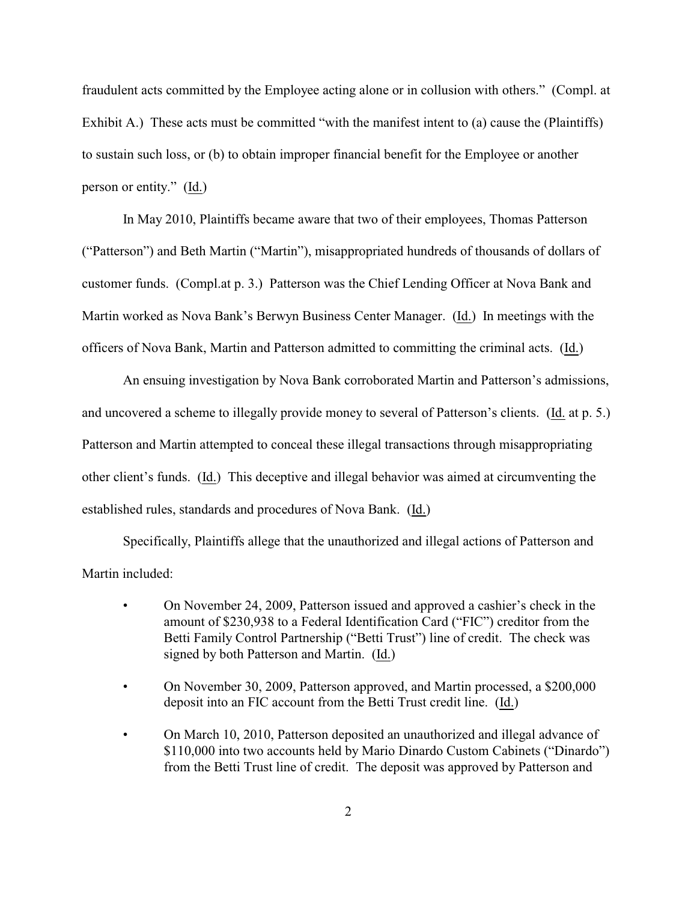fraudulent acts committed by the Employee acting alone or in collusion with others." (Compl. at Exhibit A.) These acts must be committed "with the manifest intent to (a) cause the (Plaintiffs) to sustain such loss, or (b) to obtain improper financial benefit for the Employee or another person or entity." (Id.)

In May 2010, Plaintiffs became aware that two of their employees, Thomas Patterson ("Patterson") and Beth Martin ("Martin"), misappropriated hundreds of thousands of dollars of customer funds. (Compl.at p. 3.) Patterson was the Chief Lending Officer at Nova Bank and Martin worked as Nova Bank's Berwyn Business Center Manager. (Id.) In meetings with the officers of Nova Bank, Martin and Patterson admitted to committing the criminal acts. (Id.)

An ensuing investigation by Nova Bank corroborated Martin and Patterson's admissions, and uncovered a scheme to illegally provide money to several of Patterson's clients. (Id. at p. 5.) Patterson and Martin attempted to conceal these illegal transactions through misappropriating other client's funds. (Id.) This deceptive and illegal behavior was aimed at circumventing the established rules, standards and procedures of Nova Bank. (Id.)

Specifically, Plaintiffs allege that the unauthorized and illegal actions of Patterson and Martin included:

- On November 24, 2009, Patterson issued and approved a cashier's check in the amount of \$230,938 to a Federal Identification Card ("FIC") creditor from the Betti Family Control Partnership ("Betti Trust") line of credit. The check was signed by both Patterson and Martin. (Id.)
- On November 30, 2009, Patterson approved, and Martin processed, a \$200,000 deposit into an FIC account from the Betti Trust credit line. (Id.)
- On March 10, 2010, Patterson deposited an unauthorized and illegal advance of \$110,000 into two accounts held by Mario Dinardo Custom Cabinets ("Dinardo") from the Betti Trust line of credit. The deposit was approved by Patterson and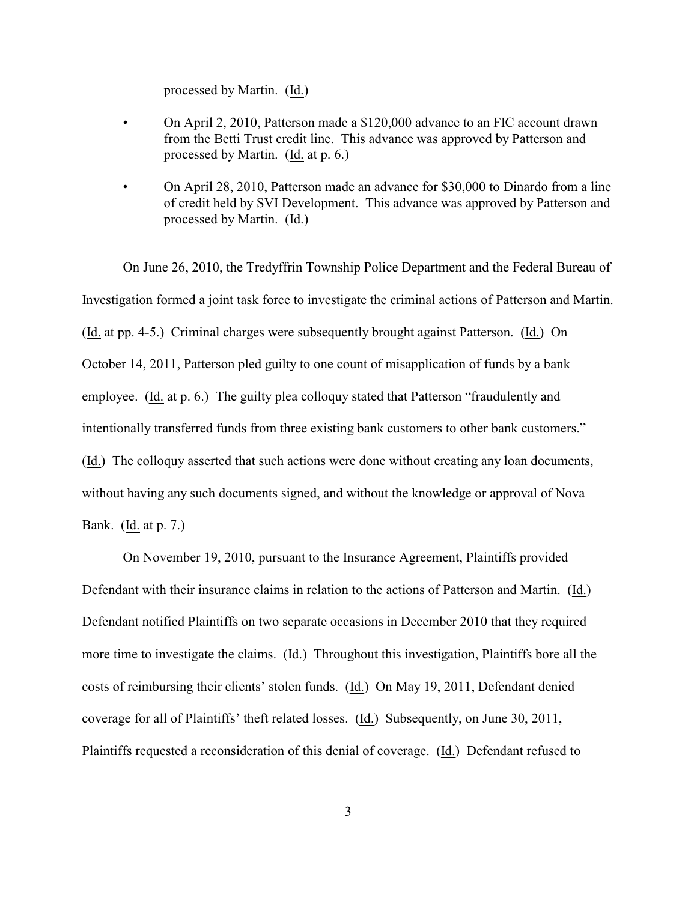processed by Martin. (Id.)

- On April 2, 2010, Patterson made a \$120,000 advance to an FIC account drawn from the Betti Trust credit line. This advance was approved by Patterson and processed by Martin. (Id. at p. 6.)
- On April 28, 2010, Patterson made an advance for \$30,000 to Dinardo from a line of credit held by SVI Development. This advance was approved by Patterson and processed by Martin. (Id.)

On June 26, 2010, the Tredyffrin Township Police Department and the Federal Bureau of Investigation formed a joint task force to investigate the criminal actions of Patterson and Martin. (Id. at pp. 4-5.) Criminal charges were subsequently brought against Patterson. (Id.) On October 14, 2011, Patterson pled guilty to one count of misapplication of funds by a bank employee. (Id. at p. 6.) The guilty plea colloquy stated that Patterson "fraudulently and intentionally transferred funds from three existing bank customers to other bank customers." (Id.) The colloquy asserted that such actions were done without creating any loan documents, without having any such documents signed, and without the knowledge or approval of Nova Bank. (Id. at p. 7.)

On November 19, 2010, pursuant to the Insurance Agreement, Plaintiffs provided Defendant with their insurance claims in relation to the actions of Patterson and Martin. (Id.) Defendant notified Plaintiffs on two separate occasions in December 2010 that they required more time to investigate the claims. (Id.) Throughout this investigation, Plaintiffs bore all the costs of reimbursing their clients' stolen funds. (Id.) On May 19, 2011, Defendant denied coverage for all of Plaintiffs' theft related losses. (Id.) Subsequently, on June 30, 2011, Plaintiffs requested a reconsideration of this denial of coverage. (Id.) Defendant refused to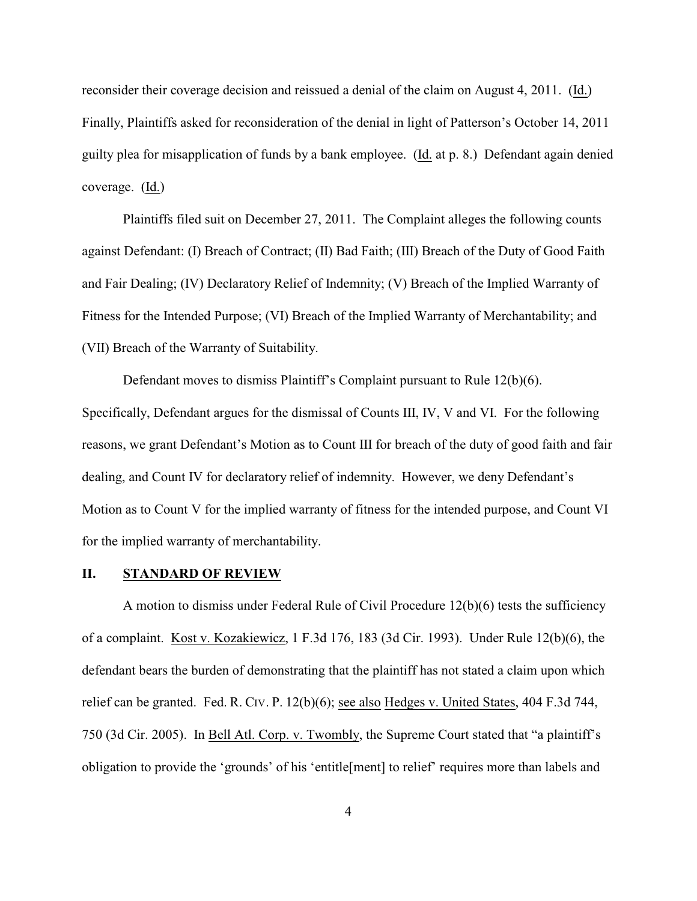reconsider their coverage decision and reissued a denial of the claim on August 4, 2011. (Id.) Finally, Plaintiffs asked for reconsideration of the denial in light of Patterson's October 14, 2011 guilty plea for misapplication of funds by a bank employee. (Id. at p. 8.) Defendant again denied coverage. (Id.)

Plaintiffs filed suit on December 27, 2011. The Complaint alleges the following counts against Defendant: (I) Breach of Contract; (II) Bad Faith; (III) Breach of the Duty of Good Faith and Fair Dealing; (IV) Declaratory Relief of Indemnity; (V) Breach of the Implied Warranty of Fitness for the Intended Purpose; (VI) Breach of the Implied Warranty of Merchantability; and (VII) Breach of the Warranty of Suitability.

Defendant moves to dismiss Plaintiff's Complaint pursuant to Rule 12(b)(6). Specifically, Defendant argues for the dismissal of Counts III, IV, V and VI. For the following reasons, we grant Defendant's Motion as to Count III for breach of the duty of good faith and fair dealing, and Count IV for declaratory relief of indemnity. However, we deny Defendant's Motion as to Count V for the implied warranty of fitness for the intended purpose, and Count VI for the implied warranty of merchantability.

#### **II. STANDARD OF REVIEW**

A motion to dismiss under Federal Rule of Civil Procedure 12(b)(6) tests the sufficiency of a complaint. Kost v. Kozakiewicz, 1 F.3d 176, 183 (3d Cir. 1993). Under Rule 12(b)(6), the defendant bears the burden of demonstrating that the plaintiff has not stated a claim upon which relief can be granted. Fed. R. CIV. P. 12(b)(6); see also Hedges v. United States, 404 F.3d 744, 750 (3d Cir. 2005). In Bell Atl. Corp. v. Twombly, the Supreme Court stated that "a plaintiff's obligation to provide the 'grounds' of his 'entitle[ment] to relief' requires more than labels and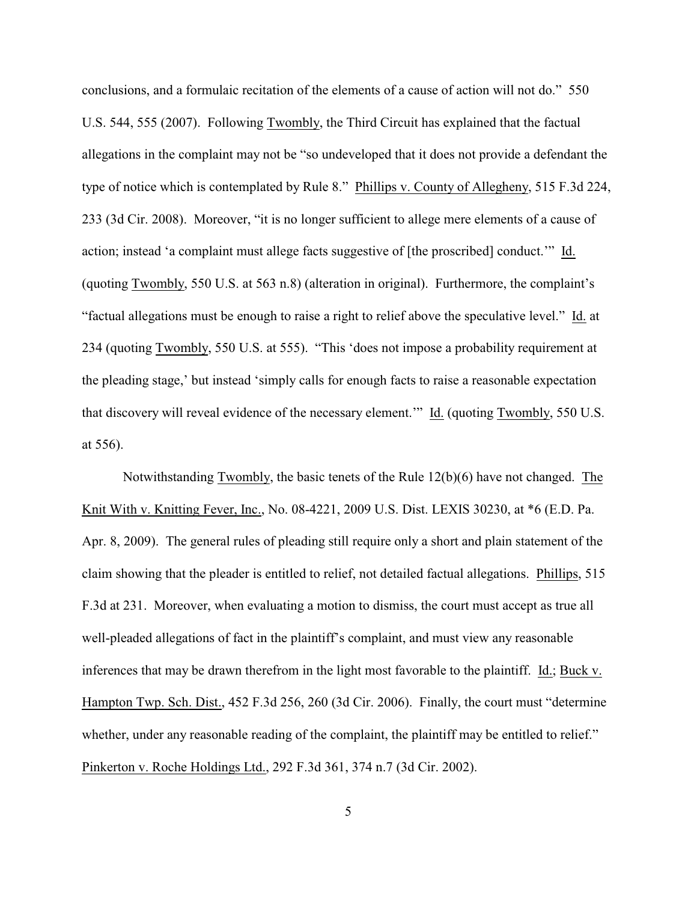conclusions, and a formulaic recitation of the elements of a cause of action will not do." 550 U.S. 544, 555 (2007). Following Twombly, the Third Circuit has explained that the factual allegations in the complaint may not be "so undeveloped that it does not provide a defendant the type of notice which is contemplated by Rule 8." Phillips v. County of Allegheny, 515 F.3d 224, 233 (3d Cir. 2008). Moreover, "it is no longer sufficient to allege mere elements of a cause of action; instead 'a complaint must allege facts suggestive of [the proscribed] conduct.'" Id. (quoting Twombly, 550 U.S. at 563 n.8) (alteration in original). Furthermore, the complaint's "factual allegations must be enough to raise a right to relief above the speculative level." Id. at 234 (quoting Twombly, 550 U.S. at 555). "This 'does not impose a probability requirement at the pleading stage,' but instead 'simply calls for enough facts to raise a reasonable expectation that discovery will reveal evidence of the necessary element.'" Id. (quoting Twombly, 550 U.S. at 556).

Notwithstanding Twombly, the basic tenets of the Rule 12(b)(6) have not changed. The Knit With v. Knitting Fever, Inc., No. 08-4221, 2009 U.S. Dist. LEXIS 30230, at \*6 (E.D. Pa. Apr. 8, 2009). The general rules of pleading still require only a short and plain statement of the claim showing that the pleader is entitled to relief, not detailed factual allegations. Phillips, 515 F.3d at 231. Moreover, when evaluating a motion to dismiss, the court must accept as true all well-pleaded allegations of fact in the plaintiff's complaint, and must view any reasonable inferences that may be drawn therefrom in the light most favorable to the plaintiff. Id.; Buck v. Hampton Twp. Sch. Dist., 452 F.3d 256, 260 (3d Cir. 2006). Finally, the court must "determine whether, under any reasonable reading of the complaint, the plaintiff may be entitled to relief." Pinkerton v. Roche Holdings Ltd., 292 F.3d 361, 374 n.7 (3d Cir. 2002).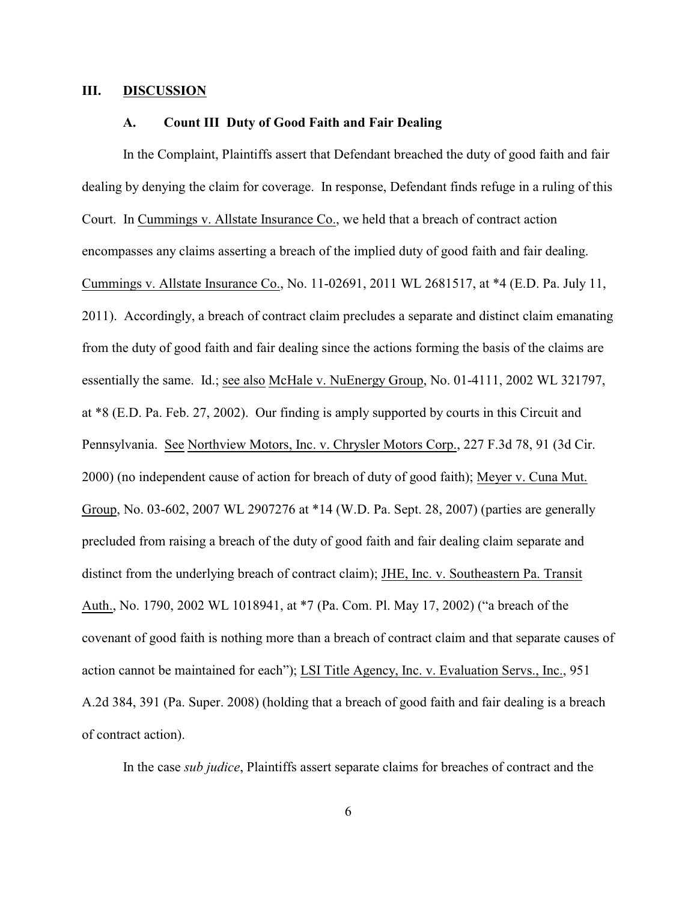#### **III. DISCUSSION**

#### **A. Count III Duty of Good Faith and Fair Dealing**

In the Complaint, Plaintiffs assert that Defendant breached the duty of good faith and fair dealing by denying the claim for coverage. In response, Defendant finds refuge in a ruling of this Court. In Cummings v. Allstate Insurance Co., we held that a breach of contract action encompasses any claims asserting a breach of the implied duty of good faith and fair dealing. Cummings v. Allstate Insurance Co., No. 11-02691, 2011 WL 2681517, at \*4 (E.D. Pa. July 11, 2011). Accordingly, a breach of contract claim precludes a separate and distinct claim emanating from the duty of good faith and fair dealing since the actions forming the basis of the claims are essentially the same. Id.; see also McHale v. NuEnergy Group, No. 01-4111, 2002 WL 321797, at \*8 (E.D. Pa. Feb. 27, 2002). Our finding is amply supported by courts in this Circuit and Pennsylvania. See Northview Motors, Inc. v. Chrysler Motors Corp., 227 F.3d 78, 91 (3d Cir. 2000) (no independent cause of action for breach of duty of good faith); Meyer v. Cuna Mut. Group, No. 03-602, 2007 WL 2907276 at \*14 (W.D. Pa. Sept. 28, 2007) (parties are generally precluded from raising a breach of the duty of good faith and fair dealing claim separate and distinct from the underlying breach of contract claim); JHE, Inc. v. Southeastern Pa. Transit Auth., No. 1790, 2002 WL 1018941, at \*7 (Pa. Com. Pl. May 17, 2002) ("a breach of the covenant of good faith is nothing more than a breach of contract claim and that separate causes of action cannot be maintained for each"); LSI Title Agency, Inc. v. Evaluation Servs., Inc., 951 A.2d 384, 391 (Pa. Super. 2008) (holding that a breach of good faith and fair dealing is a breach of contract action).

In the case *sub judice*, Plaintiffs assert separate claims for breaches of contract and the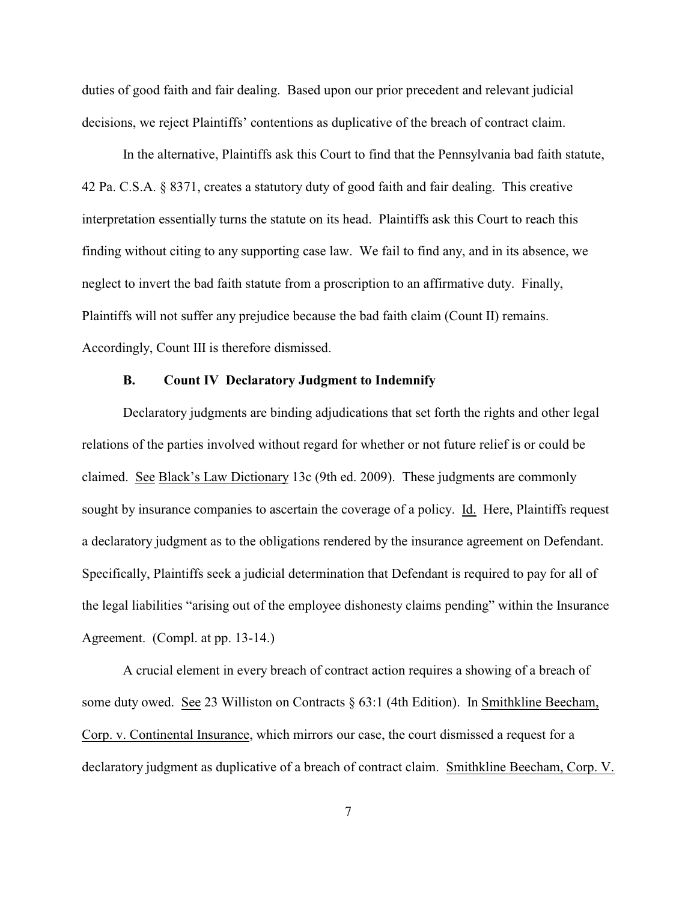duties of good faith and fair dealing. Based upon our prior precedent and relevant judicial decisions, we reject Plaintiffs' contentions as duplicative of the breach of contract claim.

In the alternative, Plaintiffs ask this Court to find that the Pennsylvania bad faith statute, 42 Pa. C.S.A. § 8371, creates a statutory duty of good faith and fair dealing. This creative interpretation essentially turns the statute on its head. Plaintiffs ask this Court to reach this finding without citing to any supporting case law. We fail to find any, and in its absence, we neglect to invert the bad faith statute from a proscription to an affirmative duty. Finally, Plaintiffs will not suffer any prejudice because the bad faith claim (Count II) remains. Accordingly, Count III is therefore dismissed.

#### **B. Count IV Declaratory Judgment to Indemnify**

Declaratory judgments are binding adjudications that set forth the rights and other legal relations of the parties involved without regard for whether or not future relief is or could be claimed. See Black's Law Dictionary 13c (9th ed. 2009). These judgments are commonly sought by insurance companies to ascertain the coverage of a policy. Id. Here, Plaintiffs request a declaratory judgment as to the obligations rendered by the insurance agreement on Defendant. Specifically, Plaintiffs seek a judicial determination that Defendant is required to pay for all of the legal liabilities "arising out of the employee dishonesty claims pending" within the Insurance Agreement. (Compl. at pp. 13-14.)

A crucial element in every breach of contract action requires a showing of a breach of some duty owed. See 23 Williston on Contracts § 63:1 (4th Edition). In Smithkline Beecham, Corp. v. Continental Insurance, which mirrors our case, the court dismissed a request for a declaratory judgment as duplicative of a breach of contract claim. Smithkline Beecham, Corp. V.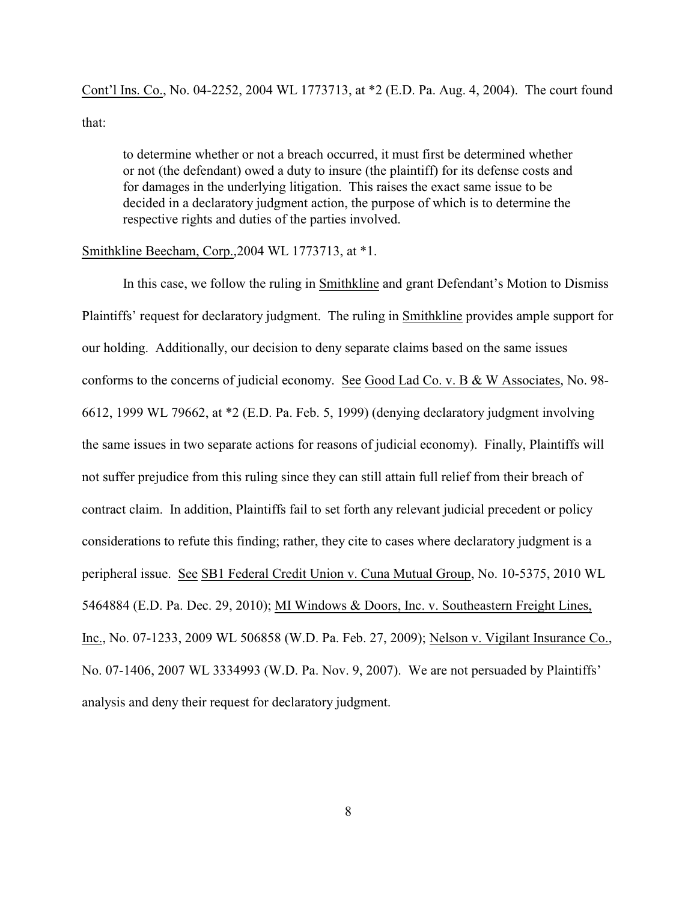Cont'l Ins. Co., No. 04-2252, 2004 WL 1773713, at \*2 (E.D. Pa. Aug. 4, 2004). The court found that:

to determine whether or not a breach occurred, it must first be determined whether or not (the defendant) owed a duty to insure (the plaintiff) for its defense costs and for damages in the underlying litigation. This raises the exact same issue to be decided in a declaratory judgment action, the purpose of which is to determine the respective rights and duties of the parties involved.

#### Smithkline Beecham, Corp.,2004 WL 1773713, at \*1.

In this case, we follow the ruling in Smithkline and grant Defendant's Motion to Dismiss Plaintiffs' request for declaratory judgment. The ruling in Smithkline provides ample support for our holding. Additionally, our decision to deny separate claims based on the same issues conforms to the concerns of judicial economy. See Good Lad Co. v. B & W Associates, No. 98- 6612, 1999 WL 79662, at \*2 (E.D. Pa. Feb. 5, 1999) (denying declaratory judgment involving the same issues in two separate actions for reasons of judicial economy). Finally, Plaintiffs will not suffer prejudice from this ruling since they can still attain full relief from their breach of contract claim. In addition, Plaintiffs fail to set forth any relevant judicial precedent or policy considerations to refute this finding; rather, they cite to cases where declaratory judgment is a peripheral issue. See SB1 Federal Credit Union v. Cuna Mutual Group, No. 10-5375, 2010 WL 5464884 (E.D. Pa. Dec. 29, 2010); MI Windows & Doors, Inc. v. Southeastern Freight Lines, Inc., No. 07-1233, 2009 WL 506858 (W.D. Pa. Feb. 27, 2009); Nelson v. Vigilant Insurance Co., No. 07-1406, 2007 WL 3334993 (W.D. Pa. Nov. 9, 2007). We are not persuaded by Plaintiffs' analysis and deny their request for declaratory judgment.

8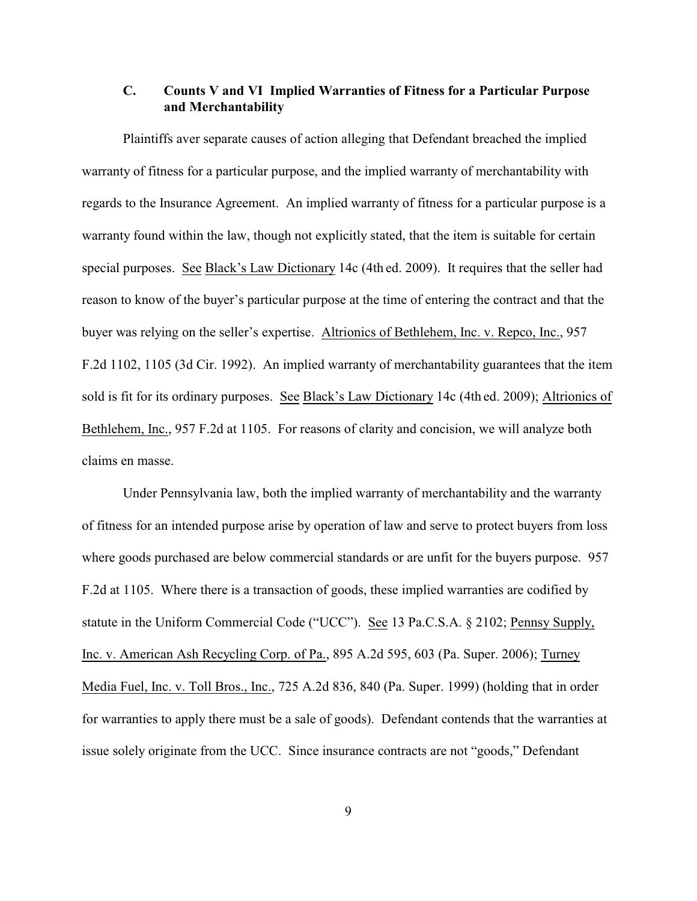## **C. Counts V and VI Implied Warranties of Fitness for a Particular Purpose and Merchantability**

Plaintiffs aver separate causes of action alleging that Defendant breached the implied warranty of fitness for a particular purpose, and the implied warranty of merchantability with regards to the Insurance Agreement. An implied warranty of fitness for a particular purpose is a warranty found within the law, though not explicitly stated, that the item is suitable for certain special purposes. See Black's Law Dictionary 14c (4th ed. 2009). It requires that the seller had reason to know of the buyer's particular purpose at the time of entering the contract and that the buyer was relying on the seller's expertise. Altrionics of Bethlehem, Inc. v. Repco, Inc., 957 F.2d 1102, 1105 (3d Cir. 1992). An implied warranty of merchantability guarantees that the item sold is fit for its ordinary purposes. See Black's Law Dictionary 14c (4th ed. 2009); Altrionics of Bethlehem, Inc., 957 F.2d at 1105. For reasons of clarity and concision, we will analyze both claims en masse.

Under Pennsylvania law, both the implied warranty of merchantability and the warranty of fitness for an intended purpose arise by operation of law and serve to protect buyers from loss where goods purchased are below commercial standards or are unfit for the buyers purpose. 957 F.2d at 1105. Where there is a transaction of goods, these implied warranties are codified by statute in the Uniform Commercial Code ("UCC"). See 13 Pa.C.S.A. § 2102; Pennsy Supply, Inc. v. American Ash Recycling Corp. of Pa., 895 A.2d 595, 603 (Pa. Super. 2006); Turney Media Fuel, Inc. v. Toll Bros., Inc., 725 A.2d 836, 840 (Pa. Super. 1999) (holding that in order for warranties to apply there must be a sale of goods). Defendant contends that the warranties at issue solely originate from the UCC. Since insurance contracts are not "goods," Defendant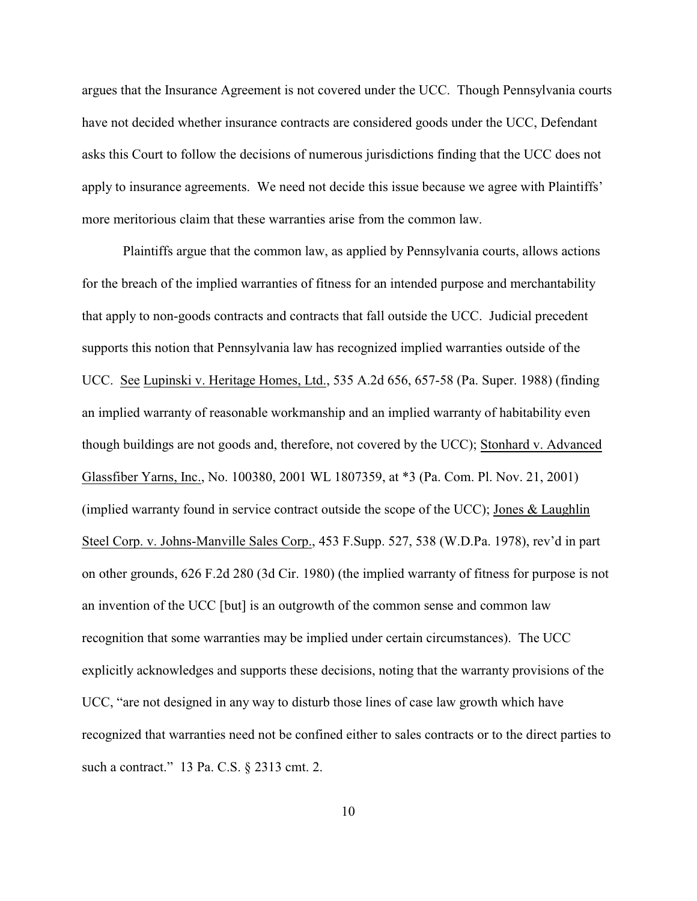argues that the Insurance Agreement is not covered under the UCC. Though Pennsylvania courts have not decided whether insurance contracts are considered goods under the UCC, Defendant asks this Court to follow the decisions of numerous jurisdictions finding that the UCC does not apply to insurance agreements. We need not decide this issue because we agree with Plaintiffs' more meritorious claim that these warranties arise from the common law.

Plaintiffs argue that the common law, as applied by Pennsylvania courts, allows actions for the breach of the implied warranties of fitness for an intended purpose and merchantability that apply to non-goods contracts and contracts that fall outside the UCC. Judicial precedent supports this notion that Pennsylvania law has recognized implied warranties outside of the UCC. See Lupinski v. Heritage Homes, Ltd., 535 A.2d 656, 657-58 (Pa. Super. 1988) (finding an implied warranty of reasonable workmanship and an implied warranty of habitability even though buildings are not goods and, therefore, not covered by the UCC); Stonhard v. Advanced Glassfiber Yarns, Inc., No. 100380, 2001 WL 1807359, at \*3 (Pa. Com. Pl. Nov. 21, 2001) (implied warranty found in service contract outside the scope of the UCC); Jones & Laughlin Steel Corp. v. Johns-Manville Sales Corp., 453 F.Supp. 527, 538 (W.D.Pa. 1978), rev'd in part on other grounds, 626 F.2d 280 (3d Cir. 1980) (the implied warranty of fitness for purpose is not an invention of the UCC [but] is an outgrowth of the common sense and common law recognition that some warranties may be implied under certain circumstances). The UCC explicitly acknowledges and supports these decisions, noting that the warranty provisions of the UCC, "are not designed in any way to disturb those lines of case law growth which have recognized that warranties need not be confined either to sales contracts or to the direct parties to such a contract." 13 Pa. C.S. § 2313 cmt. 2.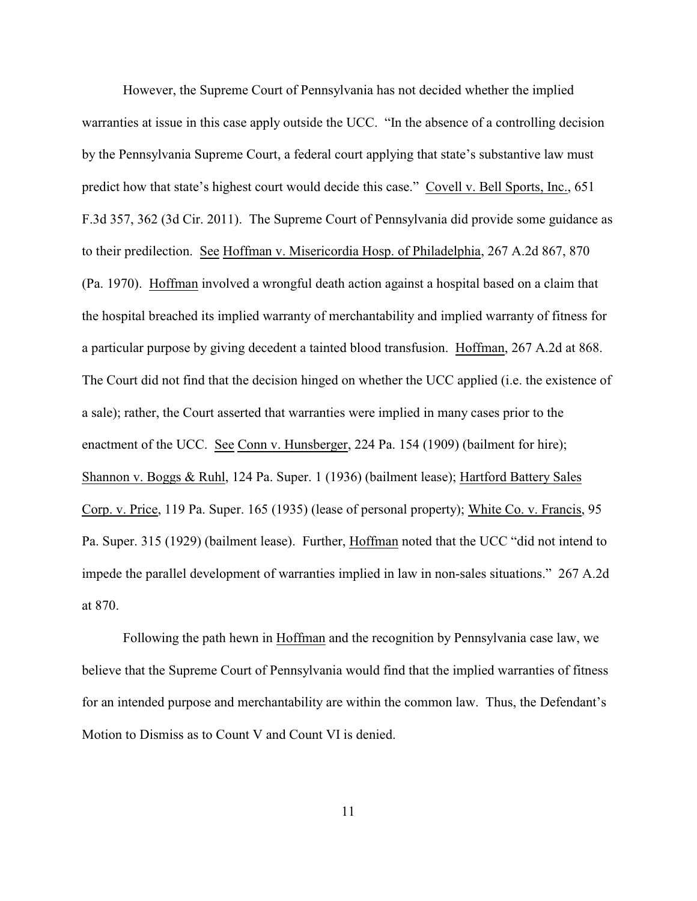However, the Supreme Court of Pennsylvania has not decided whether the implied warranties at issue in this case apply outside the UCC. "In the absence of a controlling decision by the Pennsylvania Supreme Court, a federal court applying that state's substantive law must predict how that state's highest court would decide this case." Covell v. Bell Sports, Inc., 651 F.3d 357, 362 (3d Cir. 2011). The Supreme Court of Pennsylvania did provide some guidance as to their predilection. See Hoffman v. Misericordia Hosp. of Philadelphia, 267 A.2d 867, 870 (Pa. 1970). Hoffman involved a wrongful death action against a hospital based on a claim that the hospital breached its implied warranty of merchantability and implied warranty of fitness for a particular purpose by giving decedent a tainted blood transfusion. Hoffman, 267 A.2d at 868. The Court did not find that the decision hinged on whether the UCC applied (i.e. the existence of a sale); rather, the Court asserted that warranties were implied in many cases prior to the enactment of the UCC. See Conn v. Hunsberger, 224 Pa. 154 (1909) (bailment for hire); Shannon v. Boggs & Ruhl, 124 Pa. Super. 1 (1936) (bailment lease); Hartford Battery Sales Corp. v. Price, 119 Pa. Super. 165 (1935) (lease of personal property); White Co. v. Francis, 95 Pa. Super. 315 (1929) (bailment lease). Further, Hoffman noted that the UCC "did not intend to impede the parallel development of warranties implied in law in non-sales situations." 267 A.2d at 870.

Following the path hewn in Hoffman and the recognition by Pennsylvania case law, we believe that the Supreme Court of Pennsylvania would find that the implied warranties of fitness for an intended purpose and merchantability are within the common law. Thus, the Defendant's Motion to Dismiss as to Count V and Count VI is denied.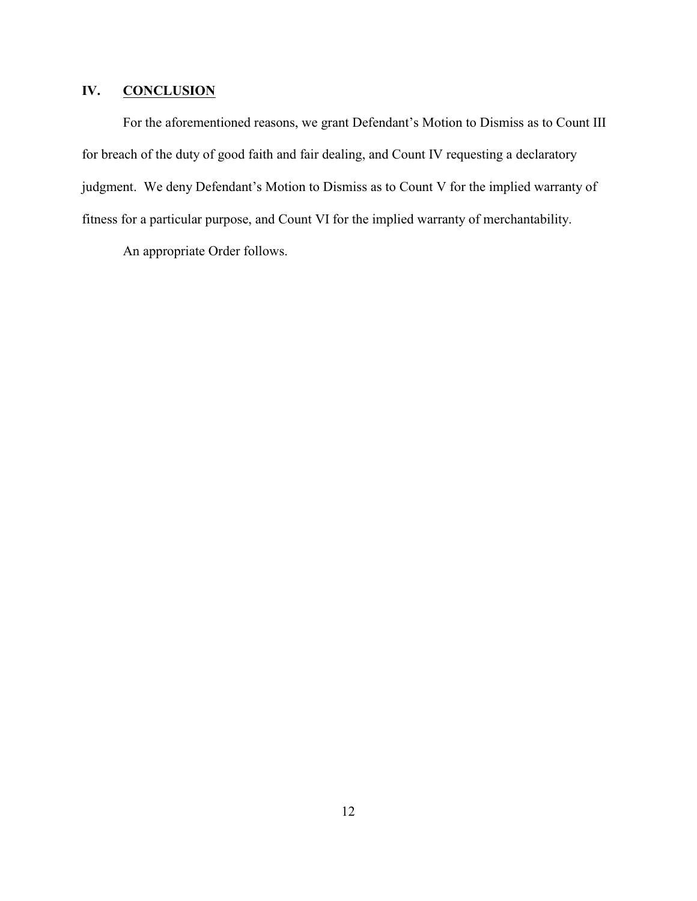# **IV. CONCLUSION**

For the aforementioned reasons, we grant Defendant's Motion to Dismiss as to Count III for breach of the duty of good faith and fair dealing, and Count IV requesting a declaratory judgment. We deny Defendant's Motion to Dismiss as to Count V for the implied warranty of fitness for a particular purpose, and Count VI for the implied warranty of merchantability.

An appropriate Order follows.